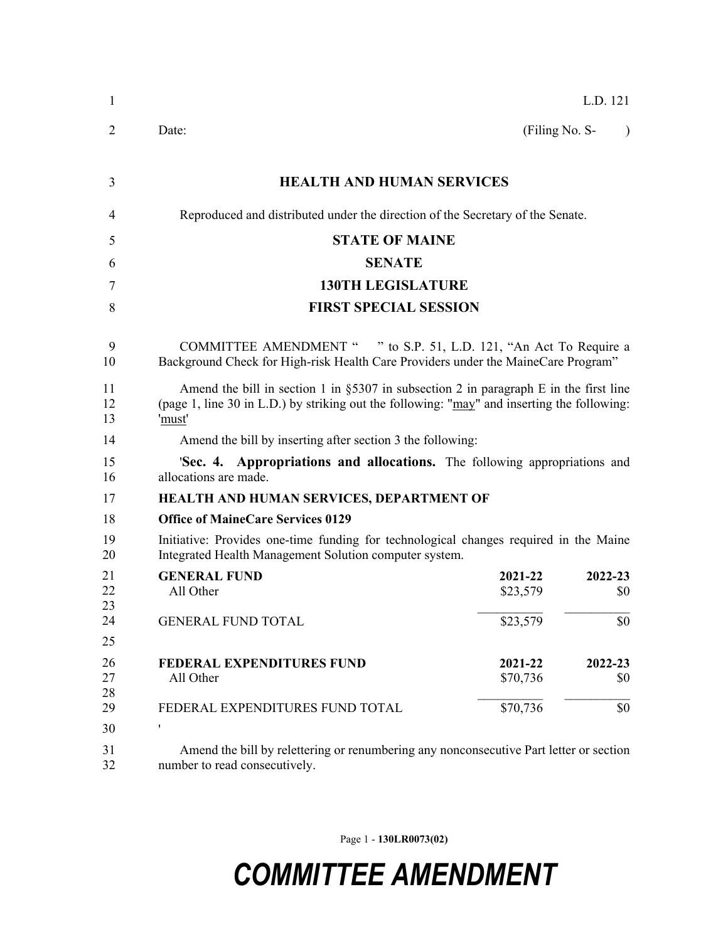| 1              |                                                                                                                                                                                                    |                     | L.D. 121       |  |
|----------------|----------------------------------------------------------------------------------------------------------------------------------------------------------------------------------------------------|---------------------|----------------|--|
| 2              | Date:                                                                                                                                                                                              | (Filing No. S-      | $\lambda$      |  |
| 3              | <b>HEALTH AND HUMAN SERVICES</b>                                                                                                                                                                   |                     |                |  |
| 4              | Reproduced and distributed under the direction of the Secretary of the Senate.                                                                                                                     |                     |                |  |
| 5              | <b>STATE OF MAINE</b>                                                                                                                                                                              |                     |                |  |
| 6              | <b>SENATE</b>                                                                                                                                                                                      |                     |                |  |
| 7              | <b>130TH LEGISLATURE</b>                                                                                                                                                                           |                     |                |  |
| 8              | <b>FIRST SPECIAL SESSION</b>                                                                                                                                                                       |                     |                |  |
| 9<br>10        | COMMITTEE AMENDMENT " " to S.P. 51, L.D. 121, "An Act To Require a<br>Background Check for High-risk Health Care Providers under the MaineCare Program"                                            |                     |                |  |
| 11<br>12<br>13 | Amend the bill in section 1 in $\S 5307$ in subsection 2 in paragraph E in the first line<br>(page 1, line 30 in L.D.) by striking out the following: "may" and inserting the following:<br>'must' |                     |                |  |
| 14             | Amend the bill by inserting after section 3 the following:                                                                                                                                         |                     |                |  |
| 15<br>16       | <b>Sec. 4. Appropriations and allocations.</b> The following appropriations and<br>allocations are made.                                                                                           |                     |                |  |
| 17             | HEALTH AND HUMAN SERVICES, DEPARTMENT OF                                                                                                                                                           |                     |                |  |
| 18             | <b>Office of MaineCare Services 0129</b>                                                                                                                                                           |                     |                |  |
| 19<br>20       | Initiative: Provides one-time funding for technological changes required in the Maine<br>Integrated Health Management Solution computer system.                                                    |                     |                |  |
| 21<br>22<br>23 | <b>GENERAL FUND</b><br>All Other                                                                                                                                                                   | 2021-22<br>\$23,579 | 2022-23<br>\$0 |  |
| 24             | <b>GENERAL FUND TOTAL</b>                                                                                                                                                                          | \$23,579            | \$0            |  |
| 25             |                                                                                                                                                                                                    |                     |                |  |
| 26<br>27<br>28 | <b>FEDERAL EXPENDITURES FUND</b><br>All Other                                                                                                                                                      | 2021-22<br>\$70,736 | 2022-23<br>\$0 |  |
| 29             | FEDERAL EXPENDITURES FUND TOTAL                                                                                                                                                                    | \$70,736            | \$0            |  |
| 30             | $\pmb{\mathsf{I}}$                                                                                                                                                                                 |                     |                |  |
| 31<br>32       | Amend the bill by relettering or renumbering any nonconsecutive Part letter or section<br>number to read consecutively.                                                                            |                     |                |  |

Page 1 - **130LR0073(02)**

## *COMMITTEE AMENDMENT*